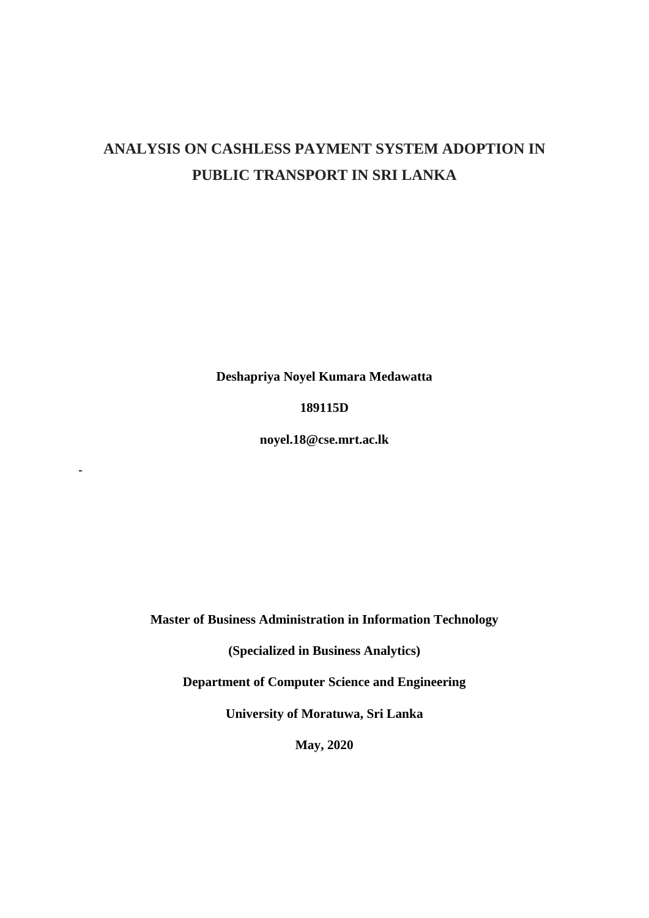# **ANALYSIS ON CASHLESS PAYMENT SYSTEM ADOPTION IN PUBLIC TRANSPORT IN SRI LANKA**

**Deshapriya Noyel Kumara Medawatta**

**189115D**

**noyel.18@cse.mrt.ac.lk**

**-**

**Master of Business Administration in Information Technology**

**(Specialized in Business Analytics)**

**Department of Computer Science and Engineering**

**University of Moratuwa, Sri Lanka**

**May, 2020**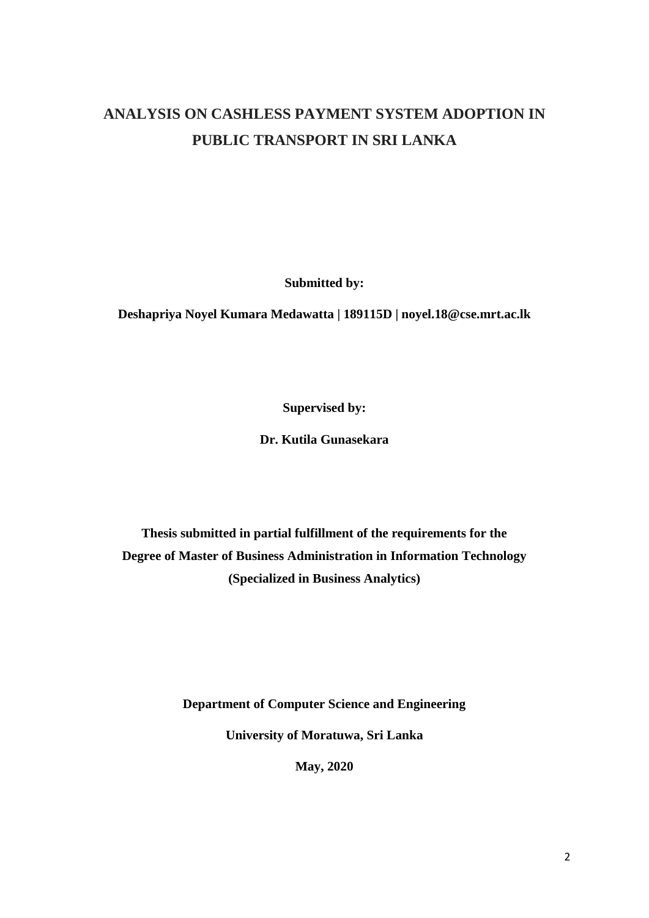# **ANALYSIS ON CASHLESS PAYMENT SYSTEM ADOPTION IN PUBLIC TRANSPORT IN SRI LANKA**

**Submitted by:**

**Deshapriya Noyel Kumara Medawatta | 189115D | [noyel.18@cse.mrt.ac.lk](mailto:noyel.18@cse.mrt.ac.lk)**

**Supervised by:**

**Dr. Kutila Gunasekara**

**Thesis submitted in partial fulfillment of the requirements for the Degree of Master of Business Administration in Information Technology (Specialized in Business Analytics)**

**Department of Computer Science and Engineering**

**University of Moratuwa, Sri Lanka**

**May, 2020**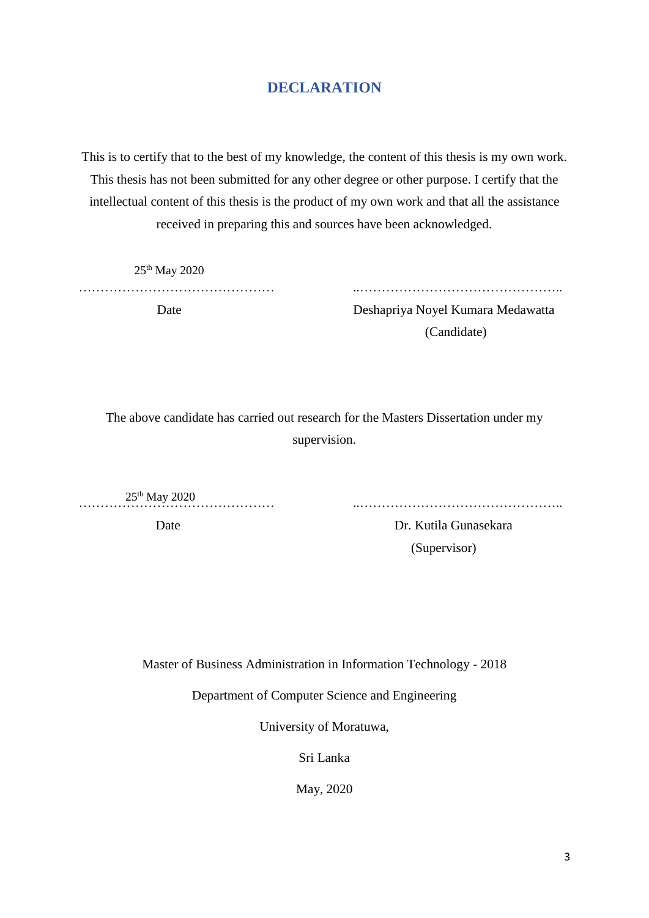### **DECLARATION**

<span id="page-2-0"></span>This is to certify that to the best of my knowledge, the content of this thesis is my own work. This thesis has not been submitted for any other degree or other purpose. I certify that the intellectual content of this thesis is the product of my own work and that all the assistance received in preparing this and sources have been acknowledged.

25th May 2020

……………………………………… ..………………………………………..

 Date Deshapriya Noyel Kumara Medawatta (Candidate)

The above candidate has carried out research for the Masters Dissertation under my supervision.

 $25^{\text{th}}$  May 2020

……………………………………… ..………………………………………..

Date Dr. Kutila Gunasekara (Supervisor)

Master of Business Administration in Information Technology - 2018

Department of Computer Science and Engineering

University of Moratuwa,

Sri Lanka

May, 2020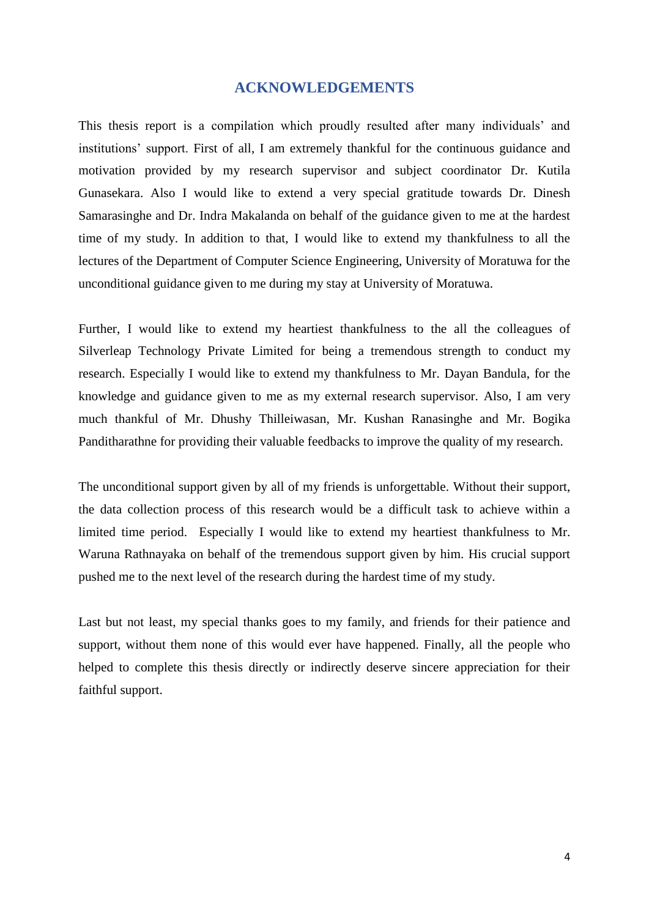#### **ACKNOWLEDGEMENTS**

<span id="page-3-0"></span>This thesis report is a compilation which proudly resulted after many individuals' and institutions' support. First of all, I am extremely thankful for the continuous guidance and motivation provided by my research supervisor and subject coordinator Dr. Kutila Gunasekara. Also I would like to extend a very special gratitude towards Dr. Dinesh Samarasinghe and Dr. Indra Makalanda on behalf of the guidance given to me at the hardest time of my study. In addition to that, I would like to extend my thankfulness to all the lectures of the Department of Computer Science Engineering, University of Moratuwa for the unconditional guidance given to me during my stay at University of Moratuwa.

Further, I would like to extend my heartiest thankfulness to the all the colleagues of Silverleap Technology Private Limited for being a tremendous strength to conduct my research. Especially I would like to extend my thankfulness to Mr. Dayan Bandula, for the knowledge and guidance given to me as my external research supervisor. Also, I am very much thankful of Mr. Dhushy Thilleiwasan, Mr. Kushan Ranasinghe and Mr. Bogika Panditharathne for providing their valuable feedbacks to improve the quality of my research.

The unconditional support given by all of my friends is unforgettable. Without their support, the data collection process of this research would be a difficult task to achieve within a limited time period. Especially I would like to extend my heartiest thankfulness to Mr. Waruna Rathnayaka on behalf of the tremendous support given by him. His crucial support pushed me to the next level of the research during the hardest time of my study.

Last but not least, my special thanks goes to my family, and friends for their patience and support, without them none of this would ever have happened. Finally, all the people who helped to complete this thesis directly or indirectly deserve sincere appreciation for their faithful support.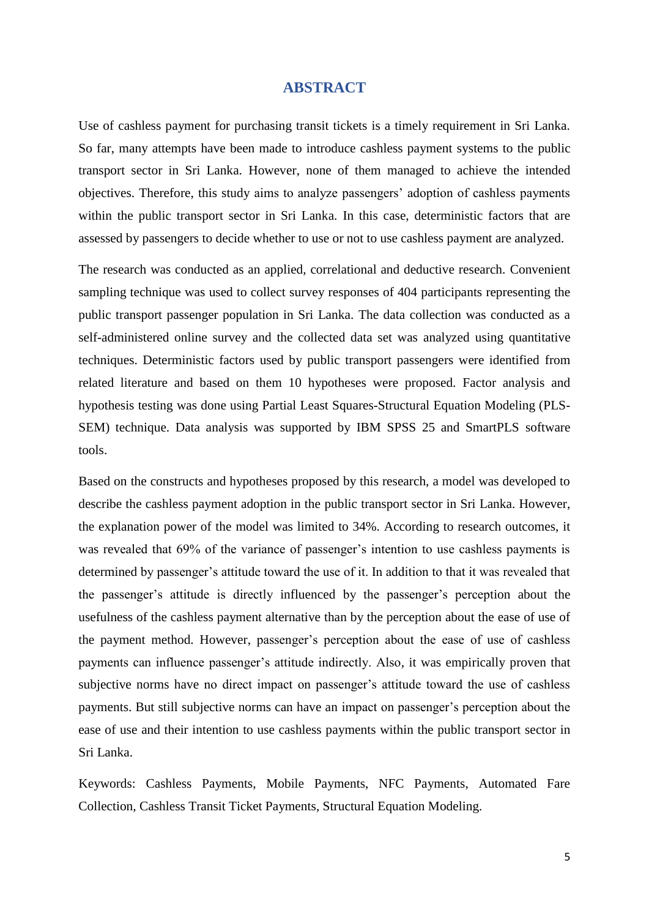#### **ABSTRACT**

<span id="page-4-0"></span>Use of cashless payment for purchasing transit tickets is a timely requirement in Sri Lanka. So far, many attempts have been made to introduce cashless payment systems to the public transport sector in Sri Lanka. However, none of them managed to achieve the intended objectives. Therefore, this study aims to analyze passengers' adoption of cashless payments within the public transport sector in Sri Lanka. In this case, deterministic factors that are assessed by passengers to decide whether to use or not to use cashless payment are analyzed.

The research was conducted as an applied, correlational and deductive research. Convenient sampling technique was used to collect survey responses of 404 participants representing the public transport passenger population in Sri Lanka. The data collection was conducted as a self-administered online survey and the collected data set was analyzed using quantitative techniques. Deterministic factors used by public transport passengers were identified from related literature and based on them 10 hypotheses were proposed. Factor analysis and hypothesis testing was done using Partial Least Squares-Structural Equation Modeling (PLS-SEM) technique. Data analysis was supported by IBM SPSS 25 and SmartPLS software tools.

Based on the constructs and hypotheses proposed by this research, a model was developed to describe the cashless payment adoption in the public transport sector in Sri Lanka. However, the explanation power of the model was limited to 34%. According to research outcomes, it was revealed that 69% of the variance of passenger's intention to use cashless payments is determined by passenger's attitude toward the use of it. In addition to that it was revealed that the passenger's attitude is directly influenced by the passenger's perception about the usefulness of the cashless payment alternative than by the perception about the ease of use of the payment method. However, passenger's perception about the ease of use of cashless payments can influence passenger's attitude indirectly. Also, it was empirically proven that subjective norms have no direct impact on passenger's attitude toward the use of cashless payments. But still subjective norms can have an impact on passenger's perception about the ease of use and their intention to use cashless payments within the public transport sector in Sri Lanka.

Keywords: Cashless Payments, Mobile Payments, NFC Payments, Automated Fare Collection, Cashless Transit Ticket Payments, Structural Equation Modeling.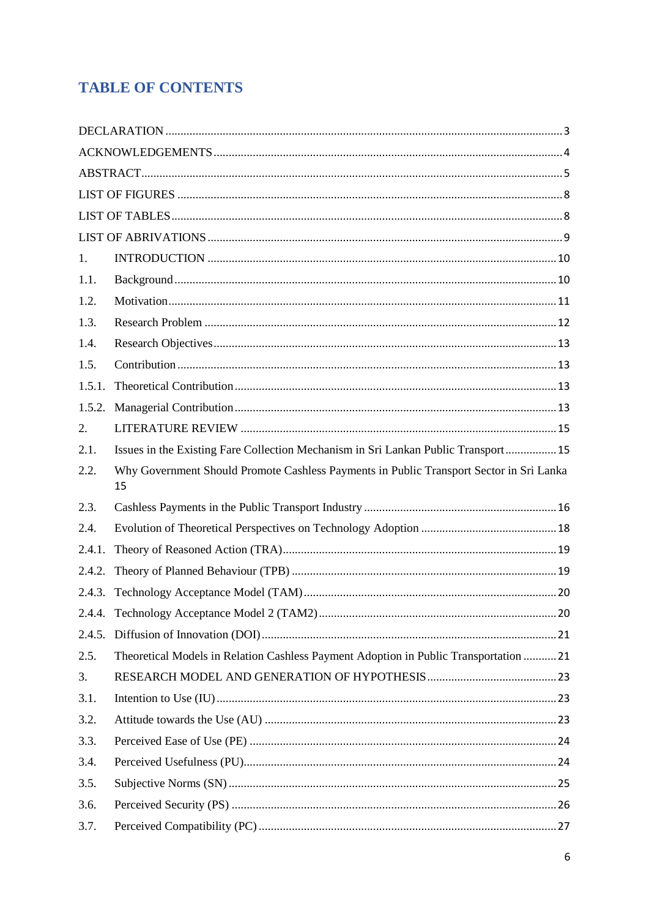# **TABLE OF CONTENTS**

| 1.     |                                                                                               |  |
|--------|-----------------------------------------------------------------------------------------------|--|
| 1.1.   |                                                                                               |  |
| 1.2.   |                                                                                               |  |
| 1.3.   |                                                                                               |  |
| 1.4.   |                                                                                               |  |
| 1.5.   |                                                                                               |  |
| 1.5.1. |                                                                                               |  |
| 1.5.2. |                                                                                               |  |
| 2.     |                                                                                               |  |
| 2.1.   | Issues in the Existing Fare Collection Mechanism in Sri Lankan Public Transport 15            |  |
| 2.2.   | Why Government Should Promote Cashless Payments in Public Transport Sector in Sri Lanka<br>15 |  |
| 2.3.   |                                                                                               |  |
| 2.4.   |                                                                                               |  |
| 2.4.1. |                                                                                               |  |
| 2.4.2. |                                                                                               |  |
|        |                                                                                               |  |
|        |                                                                                               |  |
| 2.4.5. |                                                                                               |  |
| 2.5.   | Theoretical Models in Relation Cashless Payment Adoption in Public Transportation  21         |  |
| 3.     |                                                                                               |  |
| 3.1.   |                                                                                               |  |
|        |                                                                                               |  |
| 3.2.   |                                                                                               |  |
| 3.3.   |                                                                                               |  |
| 3.4.   |                                                                                               |  |
| 3.5.   |                                                                                               |  |
| 3.6.   |                                                                                               |  |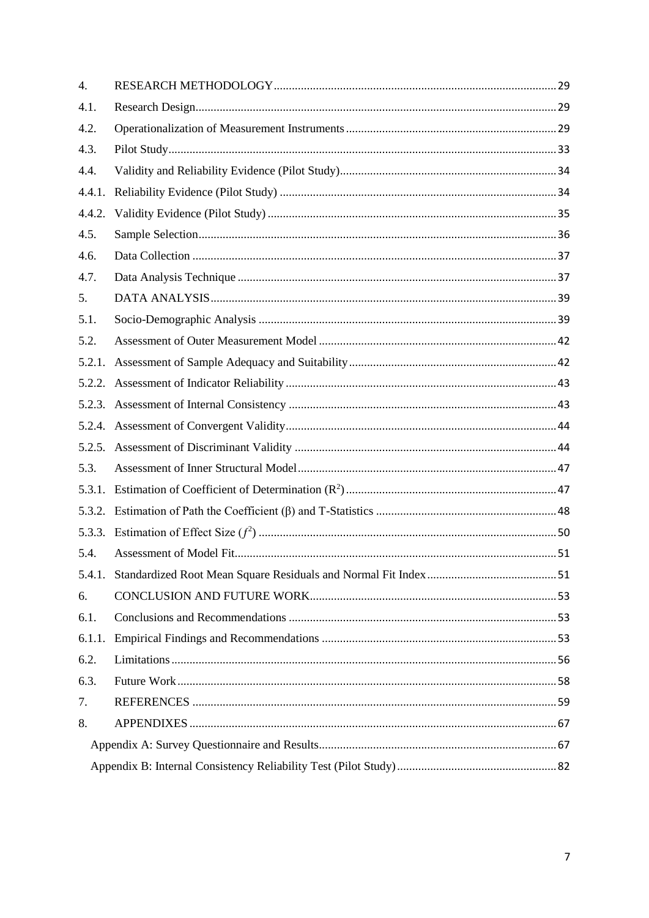| 4.     |  |  |  |  |
|--------|--|--|--|--|
| 4.1.   |  |  |  |  |
| 4.2.   |  |  |  |  |
| 4.3.   |  |  |  |  |
| 4.4.   |  |  |  |  |
| 4.4.1. |  |  |  |  |
| 4.4.2. |  |  |  |  |
| 4.5.   |  |  |  |  |
| 4.6.   |  |  |  |  |
| 4.7.   |  |  |  |  |
| 5.     |  |  |  |  |
| 5.1.   |  |  |  |  |
| 5.2.   |  |  |  |  |
| 5.2.1. |  |  |  |  |
|        |  |  |  |  |
|        |  |  |  |  |
|        |  |  |  |  |
|        |  |  |  |  |
| 5.3.   |  |  |  |  |
| 5.3.1. |  |  |  |  |
|        |  |  |  |  |
|        |  |  |  |  |
| 5.4.   |  |  |  |  |
|        |  |  |  |  |
| 6.     |  |  |  |  |
| 6.1.   |  |  |  |  |
| 6.1.1. |  |  |  |  |
| 6.2.   |  |  |  |  |
| 6.3.   |  |  |  |  |
| 7.     |  |  |  |  |
| 8.     |  |  |  |  |
|        |  |  |  |  |
|        |  |  |  |  |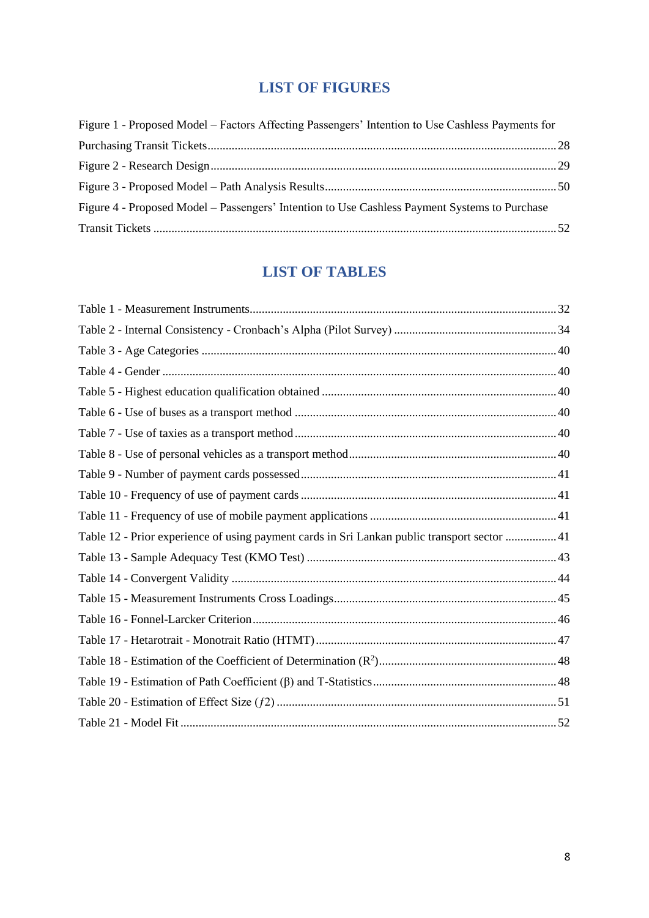## **LIST OF FIGURES**

<span id="page-7-0"></span>

| Figure 1 - Proposed Model – Factors Affecting Passengers' Intention to Use Cashless Payments for |  |
|--------------------------------------------------------------------------------------------------|--|
|                                                                                                  |  |
|                                                                                                  |  |
|                                                                                                  |  |
| Figure 4 - Proposed Model – Passengers' Intention to Use Cashless Payment Systems to Purchase    |  |
|                                                                                                  |  |

# **LIST OF TABLES**

<span id="page-7-1"></span>

| Table 12 - Prior experience of using payment cards in Sri Lankan public transport sector  41 |  |
|----------------------------------------------------------------------------------------------|--|
|                                                                                              |  |
|                                                                                              |  |
|                                                                                              |  |
|                                                                                              |  |
|                                                                                              |  |
|                                                                                              |  |
|                                                                                              |  |
|                                                                                              |  |
|                                                                                              |  |